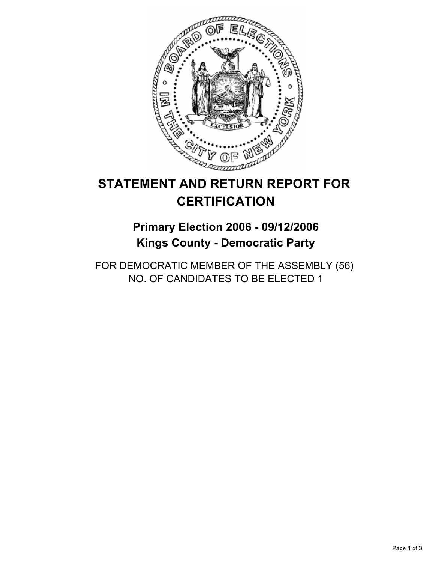

# **STATEMENT AND RETURN REPORT FOR CERTIFICATION**

## **Primary Election 2006 - 09/12/2006 Kings County - Democratic Party**

FOR DEMOCRATIC MEMBER OF THE ASSEMBLY (56) NO. OF CANDIDATES TO BE ELECTED 1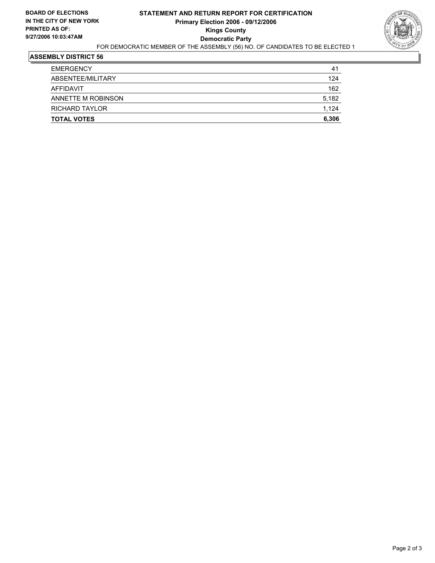

### **ASSEMBLY DISTRICT 56**

| <b>TOTAL VOTES</b>    | 6,306 |
|-----------------------|-------|
| <b>RICHARD TAYLOR</b> | 1,124 |
| ANNETTE M ROBINSON    | 5,182 |
| AFFIDAVIT             | 162   |
| ABSENTEE/MILITARY     | 124   |
| <b>EMERGENCY</b>      | 41    |